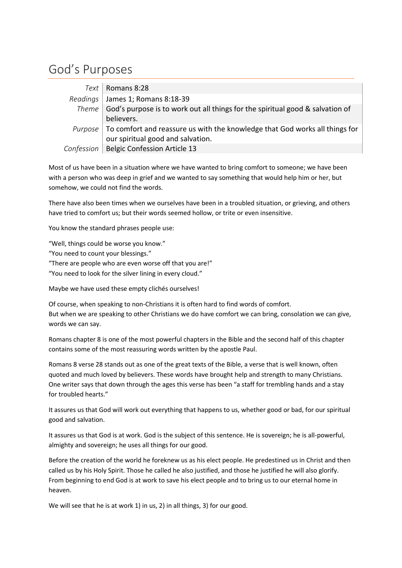## God's Purposes

| Text   Romans 8:28                                                                                    |
|-------------------------------------------------------------------------------------------------------|
| Readings James 1; Romans 8:18-39                                                                      |
| Theme $ $ God's purpose is to work out all things for the spiritual good & salvation of<br>believers. |
| Purpose $ $ To comfort and reassure us with the knowledge that God works all things for               |
|                                                                                                       |
| $\left\vert$ our spiritual good and salvation.<br>Confession   Belgic Confession Article 13           |

Most of us have been in a situation where we have wanted to bring comfort to someone; we have been with a person who was deep in grief and we wanted to say something that would help him or her, but somehow, we could not find the words.

There have also been times when we ourselves have been in a troubled situation, or grieving, and others have tried to comfort us; but their words seemed hollow, or trite or even insensitive.

You know the standard phrases people use:

"Well, things could be worse you know."

"You need to count your blessings."

"There are people who are even worse off that you are!"

"You need to look for the silver lining in every cloud."

Maybe we have used these empty clichés ourselves!

Of course, when speaking to non-Christians it is often hard to find words of comfort. But when we are speaking to other Christians we do have comfort we can bring, consolation we can give, words we can say.

Romans chapter 8 is one of the most powerful chapters in the Bible and the second half of this chapter contains some of the most reassuring words written by the apostle Paul.

Romans 8 verse 28 stands out as one of the great texts of the Bible, a verse that is well known, often quoted and much loved by believers. These words have brought help and strength to many Christians. One writer says that down through the ages this verse has been "a staff for trembling hands and a stay for troubled hearts."

It assures us that God will work out everything that happens to us, whether good or bad, for our spiritual good and salvation.

It assures us that God is at work. God is the subject of this sentence. He is sovereign; he is all-powerful, almighty and sovereign; he uses all things for our good.

Before the creation of the world he foreknew us as his elect people. He predestined us in Christ and then called us by his Holy Spirit. Those he called he also justified, and those he justified he will also glorify. From beginning to end God is at work to save his elect people and to bring us to our eternal home in heaven.

We will see that he is at work 1) in us, 2) in all things, 3) for our good.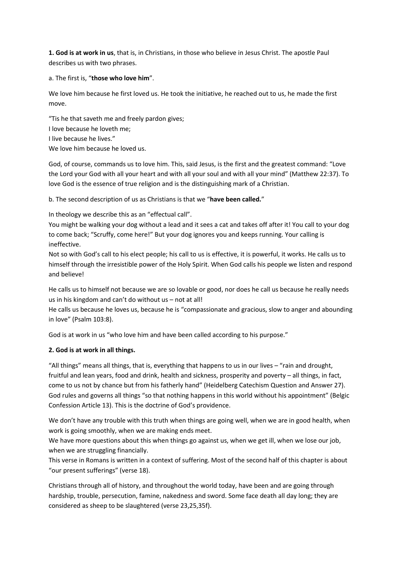**1. God is at work in us**, that is, in Christians, in those who believe in Jesus Christ. The apostle Paul describes us with two phrases.

a. The first is, "**those who love him**".

We love him because he first loved us. He took the initiative, he reached out to us, he made the first move.

"Tis he that saveth me and freely pardon gives; I love because he loveth me; I live because he lives." We love him because he loved us.

God, of course, commands us to love him. This, said Jesus, is the first and the greatest command: "Love the Lord your God with all your heart and with all your soul and with all your mind" (Matthew 22:37). To love God is the essence of true religion and is the distinguishing mark of a Christian.

b. The second description of us as Christians is that we "**have been called.**"

In theology we describe this as an "effectual call".

You might be walking your dog without a lead and it sees a cat and takes off after it! You call to your dog to come back; "Scruffy, come here!" But your dog ignores you and keeps running. Your calling is ineffective.

Not so with God's call to his elect people; his call to us is effective, it is powerful, it works. He calls us to himself through the irresistible power of the Holy Spirit. When God calls his people we listen and respond and believe!

He calls us to himself not because we are so lovable or good, nor does he call us because he really needs us in his kingdom and can't do without us – not at all!

He calls us because he loves us, because he is "compassionate and gracious, slow to anger and abounding in love" (Psalm 103:8).

God is at work in us "who love him and have been called according to his purpose."

## **2. God is at work in all things.**

"All things" means all things, that is, everything that happens to us in our lives – "rain and drought, fruitful and lean years, food and drink, health and sickness, prosperity and poverty – all things, in fact, come to us not by chance but from his fatherly hand" (Heidelberg Catechism Question and Answer 27). God rules and governs all things "so that nothing happens in this world without his appointment" (Belgic Confession Article 13). This is the doctrine of God's providence.

We don't have any trouble with this truth when things are going well, when we are in good health, when work is going smoothly, when we are making ends meet.

We have more questions about this when things go against us, when we get ill, when we lose our job, when we are struggling financially.

This verse in Romans is written in a context of suffering. Most of the second half of this chapter is about "our present sufferings" (verse 18).

Christians through all of history, and throughout the world today, have been and are going through hardship, trouble, persecution, famine, nakedness and sword. Some face death all day long; they are considered as sheep to be slaughtered (verse 23,25,35f).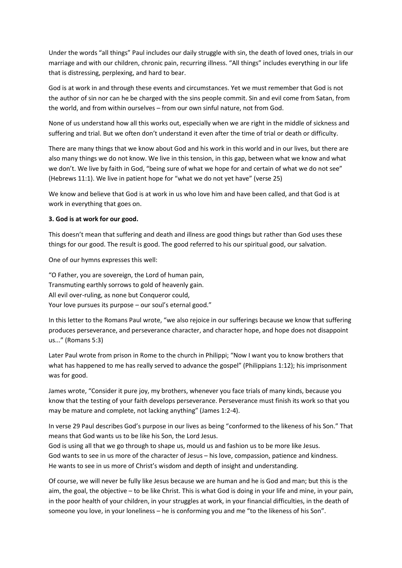Under the words "all things" Paul includes our daily struggle with sin, the death of loved ones, trials in our marriage and with our children, chronic pain, recurring illness. "All things" includes everything in our life that is distressing, perplexing, and hard to bear.

God is at work in and through these events and circumstances. Yet we must remember that God is not the author of sin nor can he be charged with the sins people commit. Sin and evil come from Satan, from the world, and from within ourselves – from our own sinful nature, not from God.

None of us understand how all this works out, especially when we are right in the middle of sickness and suffering and trial. But we often don't understand it even after the time of trial or death or difficulty.

There are many things that we know about God and his work in this world and in our lives, but there are also many things we do not know. We live in this tension, in this gap, between what we know and what we don't. We live by faith in God, "being sure of what we hope for and certain of what we do not see" (Hebrews 11:1). We live in patient hope for "what we do not yet have" (verse 25)

We know and believe that God is at work in us who love him and have been called, and that God is at work in everything that goes on.

## **3. God is at work for our good.**

This doesn't mean that suffering and death and illness are good things but rather than God uses these things for our good. The result is good. The good referred to his our spiritual good, our salvation.

One of our hymns expresses this well:

"O Father, you are sovereign, the Lord of human pain, Transmuting earthly sorrows to gold of heavenly gain. All evil over-ruling, as none but Conqueror could, Your love pursues its purpose – our soul's eternal good."

In this letter to the Romans Paul wrote, "we also rejoice in our sufferings because we know that suffering produces perseverance, and perseverance character, and character hope, and hope does not disappoint us..." (Romans 5:3)

Later Paul wrote from prison in Rome to the church in Philippi; "Now I want you to know brothers that what has happened to me has really served to advance the gospel" (Philippians 1:12); his imprisonment was for good.

James wrote, "Consider it pure joy, my brothers, whenever you face trials of many kinds, because you know that the testing of your faith develops perseverance. Perseverance must finish its work so that you may be mature and complete, not lacking anything" (James 1:2-4).

In verse 29 Paul describes God's purpose in our lives as being "conformed to the likeness of his Son." That means that God wants us to be like his Son, the Lord Jesus.

God is using all that we go through to shape us, mould us and fashion us to be more like Jesus. God wants to see in us more of the character of Jesus – his love, compassion, patience and kindness. He wants to see in us more of Christ's wisdom and depth of insight and understanding.

Of course, we will never be fully like Jesus because we are human and he is God and man; but this is the aim, the goal, the objective – to be like Christ. This is what God is doing in your life and mine, in your pain, in the poor health of your children, in your struggles at work, in your financial difficulties, in the death of someone you love, in your loneliness – he is conforming you and me "to the likeness of his Son".